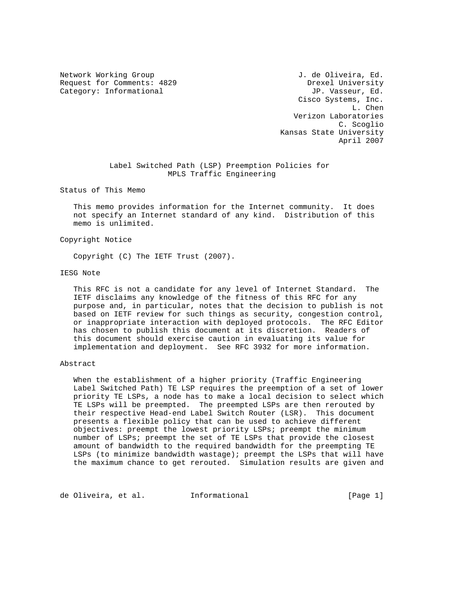Request for Comments: 4829 Drexel University Category: Informational  $JP. V$ asseur, Ed.

Network Working Group and Metwork Working Group and J. de Oliveira, Ed. Cisco Systems, Inc. L. Chen Verizon Laboratories C. Scoglio Kansas State University April 2007

# Label Switched Path (LSP) Preemption Policies for MPLS Traffic Engineering

Status of This Memo

 This memo provides information for the Internet community. It does not specify an Internet standard of any kind. Distribution of this memo is unlimited.

## Copyright Notice

Copyright (C) The IETF Trust (2007).

## IESG Note

 This RFC is not a candidate for any level of Internet Standard. The IETF disclaims any knowledge of the fitness of this RFC for any purpose and, in particular, notes that the decision to publish is not based on IETF review for such things as security, congestion control, or inappropriate interaction with deployed protocols. The RFC Editor has chosen to publish this document at its discretion. Readers of this document should exercise caution in evaluating its value for implementation and deployment. See RFC 3932 for more information.

## Abstract

 When the establishment of a higher priority (Traffic Engineering Label Switched Path) TE LSP requires the preemption of a set of lower priority TE LSPs, a node has to make a local decision to select which TE LSPs will be preempted. The preempted LSPs are then rerouted by their respective Head-end Label Switch Router (LSR). This document presents a flexible policy that can be used to achieve different objectives: preempt the lowest priority LSPs; preempt the minimum number of LSPs; preempt the set of TE LSPs that provide the closest amount of bandwidth to the required bandwidth for the preempting TE LSPs (to minimize bandwidth wastage); preempt the LSPs that will have the maximum chance to get rerouted. Simulation results are given and

de Oliveira, et al. Informational [Page 1]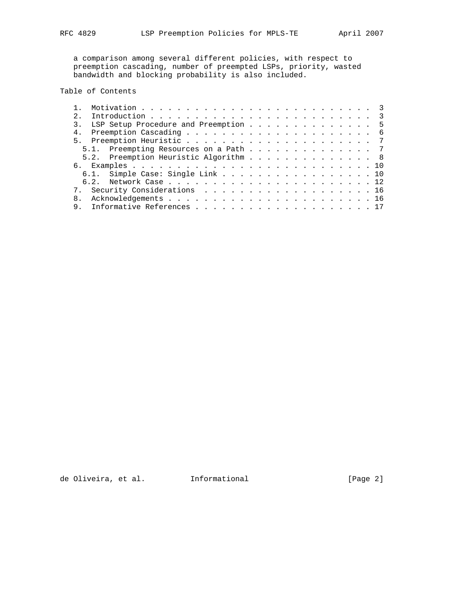a comparison among several different policies, with respect to preemption cascading, number of preempted LSPs, priority, wasted bandwidth and blocking probability is also included.

# Table of Contents

| 2. |  |  |  |  |  |  |  |                                                                                                                                                                                             |
|----|--|--|--|--|--|--|--|---------------------------------------------------------------------------------------------------------------------------------------------------------------------------------------------|
|    |  |  |  |  |  |  |  |                                                                                                                                                                                             |
| 4. |  |  |  |  |  |  |  |                                                                                                                                                                                             |
|    |  |  |  |  |  |  |  |                                                                                                                                                                                             |
|    |  |  |  |  |  |  |  |                                                                                                                                                                                             |
|    |  |  |  |  |  |  |  |                                                                                                                                                                                             |
|    |  |  |  |  |  |  |  |                                                                                                                                                                                             |
|    |  |  |  |  |  |  |  |                                                                                                                                                                                             |
|    |  |  |  |  |  |  |  |                                                                                                                                                                                             |
|    |  |  |  |  |  |  |  |                                                                                                                                                                                             |
|    |  |  |  |  |  |  |  |                                                                                                                                                                                             |
| 9. |  |  |  |  |  |  |  |                                                                                                                                                                                             |
|    |  |  |  |  |  |  |  | LSP Setup Procedure and Preemption 5<br>5.1. Preempting Resources on a Path 7<br>5.2. Preemption Heuristic Algorithm 8<br>6.1. Simple Case: Single Link 10<br>7. Security Considerations 16 |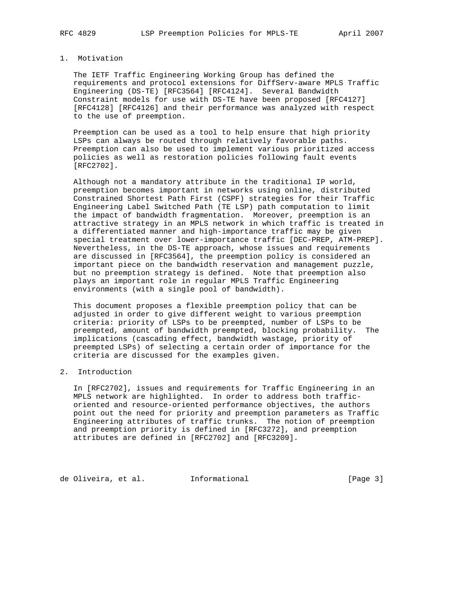# 1. Motivation

 The IETF Traffic Engineering Working Group has defined the requirements and protocol extensions for DiffServ-aware MPLS Traffic Engineering (DS-TE) [RFC3564] [RFC4124]. Several Bandwidth Constraint models for use with DS-TE have been proposed [RFC4127] [RFC4128] [RFC4126] and their performance was analyzed with respect to the use of preemption.

 Preemption can be used as a tool to help ensure that high priority LSPs can always be routed through relatively favorable paths. Preemption can also be used to implement various prioritized access policies as well as restoration policies following fault events [RFC2702].

 Although not a mandatory attribute in the traditional IP world, preemption becomes important in networks using online, distributed Constrained Shortest Path First (CSPF) strategies for their Traffic Engineering Label Switched Path (TE LSP) path computation to limit the impact of bandwidth fragmentation. Moreover, preemption is an attractive strategy in an MPLS network in which traffic is treated in a differentiated manner and high-importance traffic may be given special treatment over lower-importance traffic [DEC-PREP, ATM-PREP]. Nevertheless, in the DS-TE approach, whose issues and requirements are discussed in [RFC3564], the preemption policy is considered an important piece on the bandwidth reservation and management puzzle, but no preemption strategy is defined. Note that preemption also plays an important role in regular MPLS Traffic Engineering environments (with a single pool of bandwidth).

 This document proposes a flexible preemption policy that can be adjusted in order to give different weight to various preemption criteria: priority of LSPs to be preempted, number of LSPs to be preempted, amount of bandwidth preempted, blocking probability. The implications (cascading effect, bandwidth wastage, priority of preempted LSPs) of selecting a certain order of importance for the criteria are discussed for the examples given.

# 2. Introduction

 In [RFC2702], issues and requirements for Traffic Engineering in an MPLS network are highlighted. In order to address both traffic oriented and resource-oriented performance objectives, the authors point out the need for priority and preemption parameters as Traffic Engineering attributes of traffic trunks. The notion of preemption and preemption priority is defined in [RFC3272], and preemption attributes are defined in [RFC2702] and [RFC3209].

de Oliveira, et al. 1nformational (Page 3)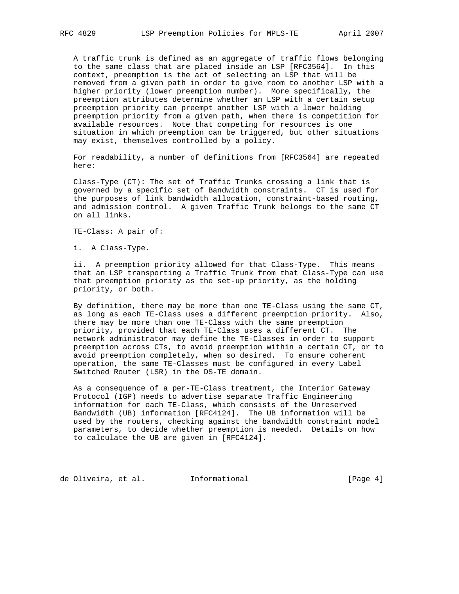A traffic trunk is defined as an aggregate of traffic flows belonging to the same class that are placed inside an LSP [RFC3564]. In this context, preemption is the act of selecting an LSP that will be removed from a given path in order to give room to another LSP with a higher priority (lower preemption number). More specifically, the preemption attributes determine whether an LSP with a certain setup preemption priority can preempt another LSP with a lower holding preemption priority from a given path, when there is competition for available resources. Note that competing for resources is one situation in which preemption can be triggered, but other situations may exist, themselves controlled by a policy.

 For readability, a number of definitions from [RFC3564] are repeated here:

 Class-Type (CT): The set of Traffic Trunks crossing a link that is governed by a specific set of Bandwidth constraints. CT is used for the purposes of link bandwidth allocation, constraint-based routing, and admission control. A given Traffic Trunk belongs to the same CT on all links.

TE-Class: A pair of:

i. A Class-Type.

 ii. A preemption priority allowed for that Class-Type. This means that an LSP transporting a Traffic Trunk from that Class-Type can use that preemption priority as the set-up priority, as the holding priority, or both.

 By definition, there may be more than one TE-Class using the same CT, as long as each TE-Class uses a different preemption priority. Also, there may be more than one TE-Class with the same preemption priority, provided that each TE-Class uses a different CT. The network administrator may define the TE-Classes in order to support preemption across CTs, to avoid preemption within a certain CT, or to avoid preemption completely, when so desired. To ensure coherent operation, the same TE-Classes must be configured in every Label Switched Router (LSR) in the DS-TE domain.

 As a consequence of a per-TE-Class treatment, the Interior Gateway Protocol (IGP) needs to advertise separate Traffic Engineering information for each TE-Class, which consists of the Unreserved Bandwidth (UB) information [RFC4124]. The UB information will be used by the routers, checking against the bandwidth constraint model parameters, to decide whether preemption is needed. Details on how to calculate the UB are given in [RFC4124].

de Oliveira, et al. Informational [Page 4]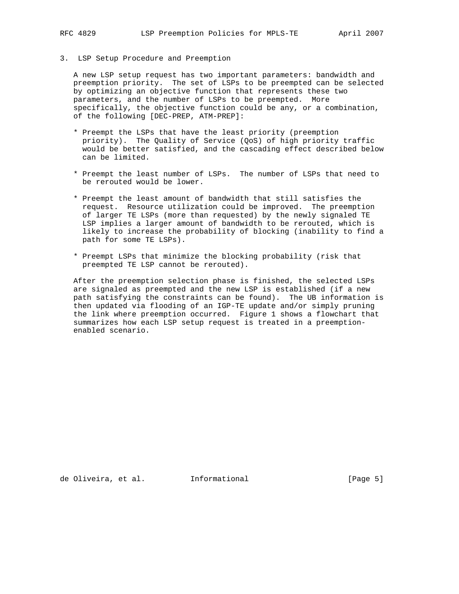3. LSP Setup Procedure and Preemption

 A new LSP setup request has two important parameters: bandwidth and preemption priority. The set of LSPs to be preempted can be selected by optimizing an objective function that represents these two parameters, and the number of LSPs to be preempted. More specifically, the objective function could be any, or a combination, of the following [DEC-PREP, ATM-PREP]:

- \* Preempt the LSPs that have the least priority (preemption priority). The Quality of Service (QoS) of high priority traffic would be better satisfied, and the cascading effect described below can be limited.
- \* Preempt the least number of LSPs. The number of LSPs that need to be rerouted would be lower.
- \* Preempt the least amount of bandwidth that still satisfies the request. Resource utilization could be improved. The preemption of larger TE LSPs (more than requested) by the newly signaled TE LSP implies a larger amount of bandwidth to be rerouted, which is likely to increase the probability of blocking (inability to find a path for some TE LSPs).
- \* Preempt LSPs that minimize the blocking probability (risk that preempted TE LSP cannot be rerouted).

 After the preemption selection phase is finished, the selected LSPs are signaled as preempted and the new LSP is established (if a new path satisfying the constraints can be found). The UB information is then updated via flooding of an IGP-TE update and/or simply pruning the link where preemption occurred. Figure 1 shows a flowchart that summarizes how each LSP setup request is treated in a preemption enabled scenario.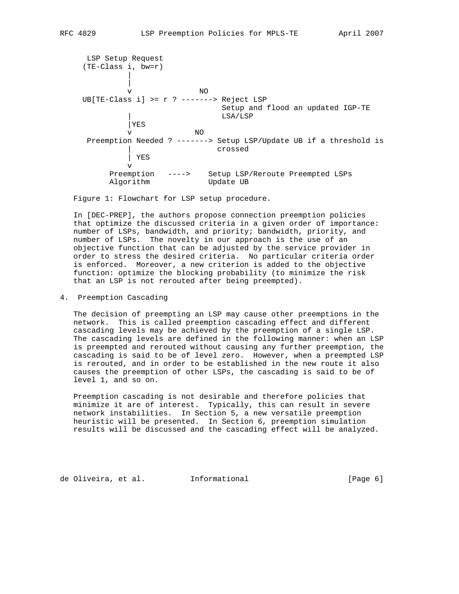LSP Setup Request (TE-Class i, bw=r) | | v NO UB[TE-Class i] >= r ? -------> Reject LSP Setup and flood an updated IGP-TE | LSA/LSP |YES v NO Preemption Needed ? -------> Setup LSP/Update UB if a threshold is | crossed | YES v Preemption ----> Setup LSP/Reroute Preempted LSPs Algorithm Update UB

Figure 1: Flowchart for LSP setup procedure.

 In [DEC-PREP], the authors propose connection preemption policies that optimize the discussed criteria in a given order of importance: number of LSPs, bandwidth, and priority; bandwidth, priority, and number of LSPs. The novelty in our approach is the use of an objective function that can be adjusted by the service provider in order to stress the desired criteria. No particular criteria order is enforced. Moreover, a new criterion is added to the objective function: optimize the blocking probability (to minimize the risk that an LSP is not rerouted after being preempted).

# 4. Preemption Cascading

 The decision of preempting an LSP may cause other preemptions in the network. This is called preemption cascading effect and different cascading levels may be achieved by the preemption of a single LSP. The cascading levels are defined in the following manner: when an LSP is preempted and rerouted without causing any further preemption, the cascading is said to be of level zero. However, when a preempted LSP is rerouted, and in order to be established in the new route it also causes the preemption of other LSPs, the cascading is said to be of level 1, and so on.

 Preemption cascading is not desirable and therefore policies that minimize it are of interest. Typically, this can result in severe network instabilities. In Section 5, a new versatile preemption heuristic will be presented. In Section 6, preemption simulation results will be discussed and the cascading effect will be analyzed.

de Oliveira, et al. Informational [Page 6]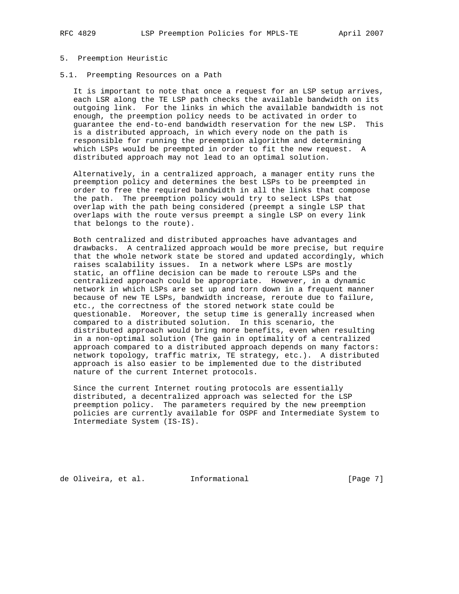## 5. Preemption Heuristic

5.1. Preempting Resources on a Path

 It is important to note that once a request for an LSP setup arrives, each LSR along the TE LSP path checks the available bandwidth on its outgoing link. For the links in which the available bandwidth is not enough, the preemption policy needs to be activated in order to guarantee the end-to-end bandwidth reservation for the new LSP. This is a distributed approach, in which every node on the path is responsible for running the preemption algorithm and determining which LSPs would be preempted in order to fit the new request. A distributed approach may not lead to an optimal solution.

 Alternatively, in a centralized approach, a manager entity runs the preemption policy and determines the best LSPs to be preempted in order to free the required bandwidth in all the links that compose the path. The preemption policy would try to select LSPs that overlap with the path being considered (preempt a single LSP that overlaps with the route versus preempt a single LSP on every link that belongs to the route).

 Both centralized and distributed approaches have advantages and drawbacks. A centralized approach would be more precise, but require that the whole network state be stored and updated accordingly, which raises scalability issues. In a network where LSPs are mostly static, an offline decision can be made to reroute LSPs and the centralized approach could be appropriate. However, in a dynamic network in which LSPs are set up and torn down in a frequent manner because of new TE LSPs, bandwidth increase, reroute due to failure, etc., the correctness of the stored network state could be questionable. Moreover, the setup time is generally increased when compared to a distributed solution. In this scenario, the distributed approach would bring more benefits, even when resulting in a non-optimal solution (The gain in optimality of a centralized approach compared to a distributed approach depends on many factors: network topology, traffic matrix, TE strategy, etc.). A distributed approach is also easier to be implemented due to the distributed nature of the current Internet protocols.

 Since the current Internet routing protocols are essentially distributed, a decentralized approach was selected for the LSP preemption policy. The parameters required by the new preemption policies are currently available for OSPF and Intermediate System to Intermediate System (IS-IS).

de Oliveira, et al. Informational [Page 7]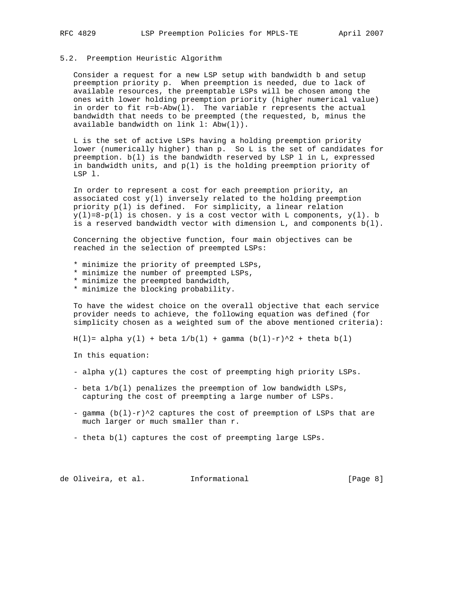# 5.2. Preemption Heuristic Algorithm

 Consider a request for a new LSP setup with bandwidth b and setup preemption priority p. When preemption is needed, due to lack of available resources, the preemptable LSPs will be chosen among the ones with lower holding preemption priority (higher numerical value) in order to fit  $r=b-Abw(1)$ . The variable r represents the actual bandwidth that needs to be preempted (the requested, b, minus the available bandwidth on link l: Abw(l)).

 L is the set of active LSPs having a holding preemption priority lower (numerically higher) than p. So L is the set of candidates for preemption. b(l) is the bandwidth reserved by LSP l in L, expressed in bandwidth units, and p(l) is the holding preemption priority of LSP l.

 In order to represent a cost for each preemption priority, an associated cost  $y(1)$  inversely related to the holding preemption priority p(l) is defined. For simplicity, a linear relation  $y(1)=8-p(1)$  is chosen. y is a cost vector with L components,  $y(1)$ . b is a reserved bandwidth vector with dimension  $L$ , and components  $b(1)$ .

 Concerning the objective function, four main objectives can be reached in the selection of preempted LSPs:

\* minimize the priority of preempted LSPs,

- \* minimize the number of preempted LSPs,
- \* minimize the preempted bandwidth,
- \* minimize the blocking probability.

 To have the widest choice on the overall objective that each service provider needs to achieve, the following equation was defined (for simplicity chosen as a weighted sum of the above mentioned criteria):

 $H(1) = alpha y(1) + beta 1/b(1) + gamma (b(1)-r)^{2} + theta b(1)$ 

In this equation:

- alpha y(l) captures the cost of preempting high priority LSPs.
- beta 1/b(l) penalizes the preemption of low bandwidth LSPs, capturing the cost of preempting a large number of LSPs.
- gamma  $(b(1)-r)^2$  captures the cost of preemption of LSPs that are much larger or much smaller than r.
- theta b(l) captures the cost of preempting large LSPs.

de Oliveira, et al. Informational [Page 8]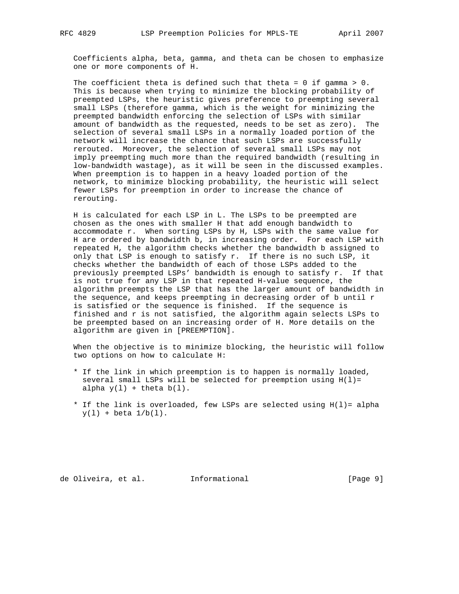Coefficients alpha, beta, gamma, and theta can be chosen to emphasize one or more components of H.

The coefficient theta is defined such that theta =  $0$  if gamma >  $0$ . This is because when trying to minimize the blocking probability of preempted LSPs, the heuristic gives preference to preempting several small LSPs (therefore gamma, which is the weight for minimizing the preempted bandwidth enforcing the selection of LSPs with similar amount of bandwidth as the requested, needs to be set as zero). The selection of several small LSPs in a normally loaded portion of the network will increase the chance that such LSPs are successfully rerouted. Moreover, the selection of several small LSPs may not imply preempting much more than the required bandwidth (resulting in low-bandwidth wastage), as it will be seen in the discussed examples. When preemption is to happen in a heavy loaded portion of the network, to minimize blocking probability, the heuristic will select fewer LSPs for preemption in order to increase the chance of rerouting.

 H is calculated for each LSP in L. The LSPs to be preempted are chosen as the ones with smaller H that add enough bandwidth to accommodate r. When sorting LSPs by H, LSPs with the same value for H are ordered by bandwidth b, in increasing order. For each LSP with repeated H, the algorithm checks whether the bandwidth b assigned to only that LSP is enough to satisfy r. If there is no such LSP, it checks whether the bandwidth of each of those LSPs added to the previously preempted LSPs' bandwidth is enough to satisfy r. If that is not true for any LSP in that repeated H-value sequence, the algorithm preempts the LSP that has the larger amount of bandwidth in the sequence, and keeps preempting in decreasing order of b until  $r$  is satisfied or the sequence is finished. If the sequence is finished and r is not satisfied, the algorithm again selects LSPs to be preempted based on an increasing order of H. More details on the algorithm are given in [PREEMPTION].

 When the objective is to minimize blocking, the heuristic will follow two options on how to calculate H:

- \* If the link in which preemption is to happen is normally loaded, several small LSPs will be selected for preemption using  $H(1)=$ alpha  $y(1)$  + theta  $b(1)$ .
- \* If the link is overloaded, few LSPs are selected using H(l)= alpha  $y(1) + \text{beta } 1/\text{b}(1)$ .

de Oliveira, et al. Informational [Page 9]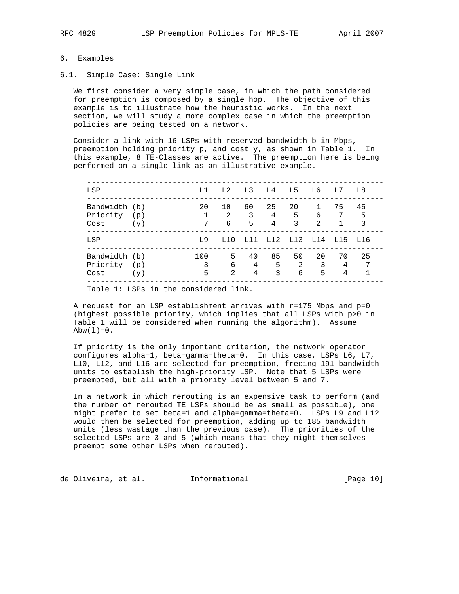# 6. Examples

# 6.1. Simple Case: Single Link

 We first consider a very simple case, in which the path considered for preemption is composed by a single hop. The objective of this example is to illustrate how the heuristic works. In the next section, we will study a more complex case in which the preemption policies are being tested on a network.

 Consider a link with 16 LSPs with reserved bandwidth b in Mbps, preemption holding priority p, and cost y, as shown in Table 1. In this example, 8 TE-Classes are active. The preemption here is being performed on a single link as an illustrative example.

| LSP                               |            | L1            | L2                      | L3 L4        |                            | L5               | L6                                 | L7           | L8           |
|-----------------------------------|------------|---------------|-------------------------|--------------|----------------------------|------------------|------------------------------------|--------------|--------------|
| Bandwidth (b)<br>Priority<br>Cost | (p)<br>(y) | 20<br>1<br>7  | 10<br>2<br>6            | 60<br>3<br>5 | 25<br>$4\overline{ }$<br>4 | 20<br>$5 -$<br>3 | $\mathbf{1}$<br>6<br>$\mathcal{L}$ | 75<br>7      | 45<br>5<br>3 |
| LSP                               |            | T.9           | T.10                    |              | L11 L12 L13 L14 L15        |                  |                                    |              | - T.1.6      |
| Bandwidth (b)<br>Priority<br>Cost | (p)<br>(y) | 100<br>3<br>5 | 5<br>6<br>$\mathcal{L}$ | 40<br>4<br>4 | 85<br>5<br>3               | 50<br>-2<br>6    | 20<br>3<br>5                       | 70<br>4<br>4 | 25<br>7      |

Table 1: LSPs in the considered link.

A request for an LSP establishment arrives with  $r=175$  Mbps and  $p=0$  (highest possible priority, which implies that all LSPs with p>0 in Table 1 will be considered when running the algorithm). Assume  $Abw(1)=0$ .

 If priority is the only important criterion, the network operator configures alpha=1, beta=gamma=theta=0. In this case, LSPs L6, L7, L10, L12, and L16 are selected for preemption, freeing 191 bandwidth units to establish the high-priority LSP. Note that 5 LSPs were preempted, but all with a priority level between 5 and 7.

 In a network in which rerouting is an expensive task to perform (and the number of rerouted TE LSPs should be as small as possible), one might prefer to set beta=1 and alpha=gamma=theta=0. LSPs L9 and L12 would then be selected for preemption, adding up to 185 bandwidth units (less wastage than the previous case). The priorities of the selected LSPs are 3 and 5 (which means that they might themselves preempt some other LSPs when rerouted).

de Oliveira, et al. Informational [Page 10]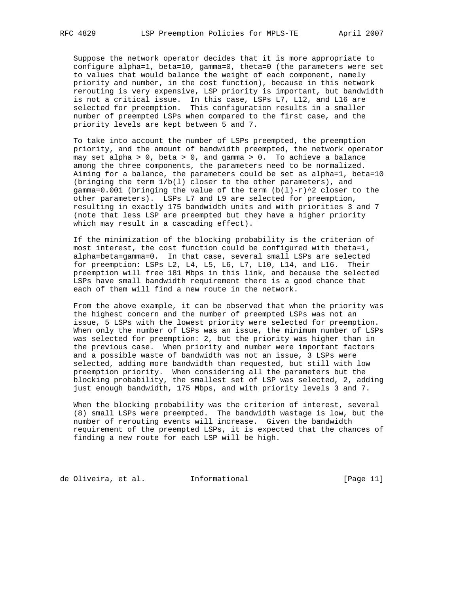Suppose the network operator decides that it is more appropriate to configure alpha=1, beta=10, gamma=0, theta=0 (the parameters were set to values that would balance the weight of each component, namely priority and number, in the cost function), because in this network rerouting is very expensive, LSP priority is important, but bandwidth is not a critical issue. In this case, LSPs L7, L12, and L16 are selected for preemption. This configuration results in a smaller number of preempted LSPs when compared to the first case, and the priority levels are kept between 5 and 7.

 To take into account the number of LSPs preempted, the preemption priority, and the amount of bandwidth preempted, the network operator may set alpha > 0, beta > 0, and gamma > 0. To achieve a balance among the three components, the parameters need to be normalized. Aiming for a balance, the parameters could be set as alpha=1, beta=10 (bringing the term 1/b(l) closer to the other parameters), and gamma=0.001 (bringing the value of the term  $(b(1)-r)^{2}$  closer to the other parameters). LSPs L7 and L9 are selected for preemption, resulting in exactly 175 bandwidth units and with priorities 3 and 7 (note that less LSP are preempted but they have a higher priority which may result in a cascading effect).

 If the minimization of the blocking probability is the criterion of most interest, the cost function could be configured with theta=1, alpha=beta=gamma=0. In that case, several small LSPs are selected for preemption: LSPs L2, L4, L5, L6, L7, L10, L14, and L16. Their preemption will free 181 Mbps in this link, and because the selected LSPs have small bandwidth requirement there is a good chance that each of them will find a new route in the network.

 From the above example, it can be observed that when the priority was the highest concern and the number of preempted LSPs was not an issue, 5 LSPs with the lowest priority were selected for preemption. When only the number of LSPs was an issue, the minimum number of LSPs was selected for preemption: 2, but the priority was higher than in the previous case. When priority and number were important factors and a possible waste of bandwidth was not an issue, 3 LSPs were selected, adding more bandwidth than requested, but still with low preemption priority. When considering all the parameters but the blocking probability, the smallest set of LSP was selected, 2, adding just enough bandwidth, 175 Mbps, and with priority levels 3 and 7.

 When the blocking probability was the criterion of interest, several (8) small LSPs were preempted. The bandwidth wastage is low, but the number of rerouting events will increase. Given the bandwidth requirement of the preempted LSPs, it is expected that the chances of finding a new route for each LSP will be high.

de Oliveira, et al. 1nformational 1999 [Page 11]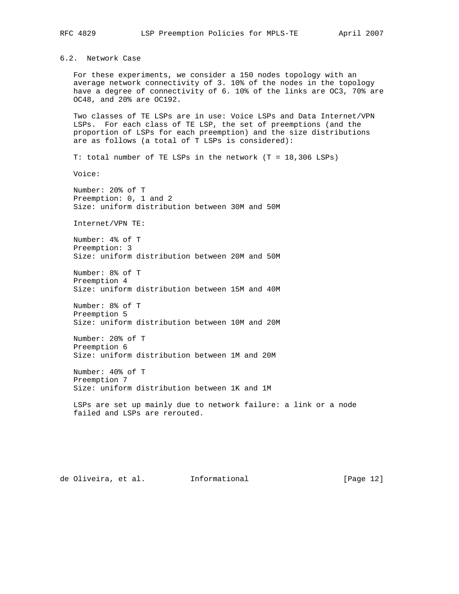6.2. Network Case

 For these experiments, we consider a 150 nodes topology with an average network connectivity of 3. 10% of the nodes in the topology have a degree of connectivity of 6. 10% of the links are OC3, 70% are OC48, and 20% are OC192.

 Two classes of TE LSPs are in use: Voice LSPs and Data Internet/VPN LSPs. For each class of TE LSP, the set of preemptions (and the proportion of LSPs for each preemption) and the size distributions are as follows (a total of T LSPs is considered):

T: total number of TE LSPs in the network (T = 18,306 LSPs)

Voice:

 Number: 20% of T Preemption: 0, 1 and 2 Size: uniform distribution between 30M and 50M

Internet/VPN TE:

 Number: 4% of T Preemption: 3 Size: uniform distribution between 20M and 50M

 Number: 8% of T Preemption 4 Size: uniform distribution between 15M and 40M

 Number: 8% of T Preemption 5 Size: uniform distribution between 10M and 20M

 Number: 20% of T Preemption 6 Size: uniform distribution between 1M and 20M

 Number: 40% of T Preemption 7 Size: uniform distribution between 1K and 1M

 LSPs are set up mainly due to network failure: a link or a node failed and LSPs are rerouted.

de Oliveira, et al. Informational [Page 12]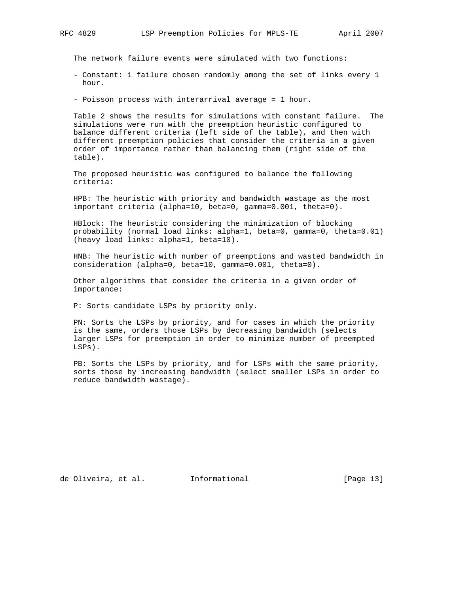The network failure events were simulated with two functions:

- Constant: 1 failure chosen randomly among the set of links every 1 hour.
- Poisson process with interarrival average = 1 hour.

 Table 2 shows the results for simulations with constant failure. The simulations were run with the preemption heuristic configured to balance different criteria (left side of the table), and then with different preemption policies that consider the criteria in a given order of importance rather than balancing them (right side of the table).

 The proposed heuristic was configured to balance the following criteria:

 HPB: The heuristic with priority and bandwidth wastage as the most important criteria (alpha=10, beta=0, gamma=0.001, theta=0).

 HBlock: The heuristic considering the minimization of blocking probability (normal load links: alpha=1, beta=0, gamma=0, theta=0.01) (heavy load links: alpha=1, beta=10).

 HNB: The heuristic with number of preemptions and wasted bandwidth in consideration (alpha=0, beta=10, gamma=0.001, theta=0).

 Other algorithms that consider the criteria in a given order of importance:

P: Sorts candidate LSPs by priority only.

 PN: Sorts the LSPs by priority, and for cases in which the priority is the same, orders those LSPs by decreasing bandwidth (selects larger LSPs for preemption in order to minimize number of preempted LSPs).

 PB: Sorts the LSPs by priority, and for LSPs with the same priority, sorts those by increasing bandwidth (select smaller LSPs in order to reduce bandwidth wastage).

de Oliveira, et al. Informational [Page 13]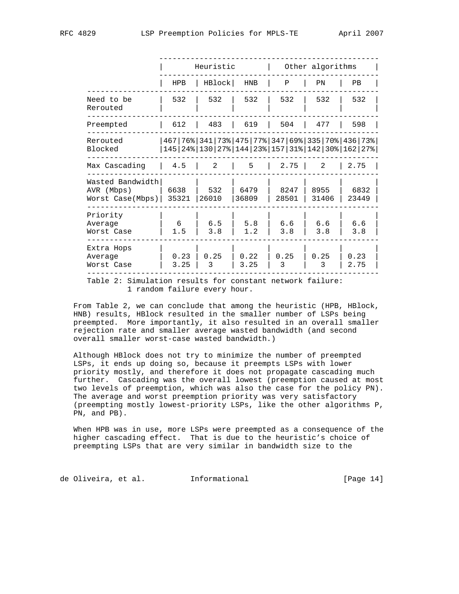|                                                    |               | Heuristic    |               |               | Other algorithms |                                                                                                                                                  |
|----------------------------------------------------|---------------|--------------|---------------|---------------|------------------|--------------------------------------------------------------------------------------------------------------------------------------------------|
|                                                    | <b>HPB</b>    | HBlock       | HNB           | Ρ             | PN               | PВ                                                                                                                                               |
| Need to be<br>Rerouted                             | 532           | 532          | 532           | 532           | 532              | 532                                                                                                                                              |
| Preempted                                          | 612           | 483          | 619           | 504           | 477              | 598                                                                                                                                              |
| Rerouted<br>Blocked                                |               |              |               |               |                  | 467   76%   341   73%   475   77%   347   69%   335   70%   436   73%  <br>145   24%   130   27%   144   23%   157   31%   142   30%   162   27% |
| Max Cascading                                      | 4.5           | 2            | 5             | 2.75          | 2                | 2.75                                                                                                                                             |
| Wasted Bandwidth<br>AVR (Mbps)<br>Worst Case(Mbps) | 6638<br>35321 | 532<br>26010 | 6479<br>36809 | 8247<br>28501 | 8955<br>31406    | 6832<br>23449                                                                                                                                    |
| Priority<br>Average<br>Worst Case                  | 6<br>1.5      | 6.5<br>3.8   | 5.8<br>1.2    | 6.6<br>3.8    | 6.6<br>3.8       | 6.6<br>3.8                                                                                                                                       |
| Extra Hops<br>Average<br>Worst Case                | 0.23<br>3.25  | 0.25<br>3    | 0.22<br>3.25  | 0.25<br>3     | 0.25<br>3        | 0.23<br>2.75                                                                                                                                     |

1 random failure every hour.

 From Table 2, we can conclude that among the heuristic (HPB, HBlock, HNB) results, HBlock resulted in the smaller number of LSPs being preempted. More importantly, it also resulted in an overall smaller rejection rate and smaller average wasted bandwidth (and second overall smaller worst-case wasted bandwidth.)

 Although HBlock does not try to minimize the number of preempted LSPs, it ends up doing so, because it preempts LSPs with lower priority mostly, and therefore it does not propagate cascading much further. Cascading was the overall lowest (preemption caused at most two levels of preemption, which was also the case for the policy PN). The average and worst preemption priority was very satisfactory (preempting mostly lowest-priority LSPs, like the other algorithms P, PN, and PB).

 When HPB was in use, more LSPs were preempted as a consequence of the higher cascading effect. That is due to the heuristic's choice of preempting LSPs that are very similar in bandwidth size to the

de Oliveira, et al. Informational [Page 14]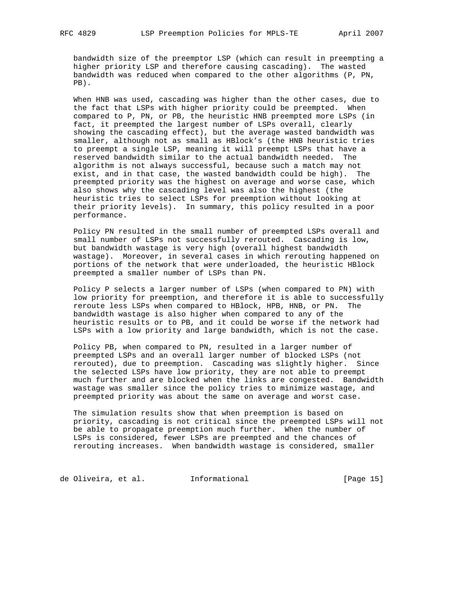bandwidth size of the preemptor LSP (which can result in preempting a higher priority LSP and therefore causing cascading). The wasted bandwidth was reduced when compared to the other algorithms (P, PN, PB).

 When HNB was used, cascading was higher than the other cases, due to the fact that LSPs with higher priority could be preempted. When compared to P, PN, or PB, the heuristic HNB preempted more LSPs (in fact, it preempted the largest number of LSPs overall, clearly showing the cascading effect), but the average wasted bandwidth was smaller, although not as small as HBlock's (the HNB heuristic tries to preempt a single LSP, meaning it will preempt LSPs that have a reserved bandwidth similar to the actual bandwidth needed. The algorithm is not always successful, because such a match may not exist, and in that case, the wasted bandwidth could be high). The preempted priority was the highest on average and worse case, which also shows why the cascading level was also the highest (the heuristic tries to select LSPs for preemption without looking at their priority levels). In summary, this policy resulted in a poor performance.

 Policy PN resulted in the small number of preempted LSPs overall and small number of LSPs not successfully rerouted. Cascading is low, but bandwidth wastage is very high (overall highest bandwidth wastage). Moreover, in several cases in which rerouting happened on portions of the network that were underloaded, the heuristic HBlock preempted a smaller number of LSPs than PN.

 Policy P selects a larger number of LSPs (when compared to PN) with low priority for preemption, and therefore it is able to successfully reroute less LSPs when compared to HBlock, HPB, HNB, or PN. The bandwidth wastage is also higher when compared to any of the heuristic results or to PB, and it could be worse if the network had LSPs with a low priority and large bandwidth, which is not the case.

 Policy PB, when compared to PN, resulted in a larger number of preempted LSPs and an overall larger number of blocked LSPs (not rerouted), due to preemption. Cascading was slightly higher. Since the selected LSPs have low priority, they are not able to preempt much further and are blocked when the links are congested. Bandwidth wastage was smaller since the policy tries to minimize wastage, and preempted priority was about the same on average and worst case.

 The simulation results show that when preemption is based on priority, cascading is not critical since the preempted LSPs will not be able to propagate preemption much further. When the number of LSPs is considered, fewer LSPs are preempted and the chances of rerouting increases. When bandwidth wastage is considered, smaller

de Oliveira, et al. 1nformational (Page 15)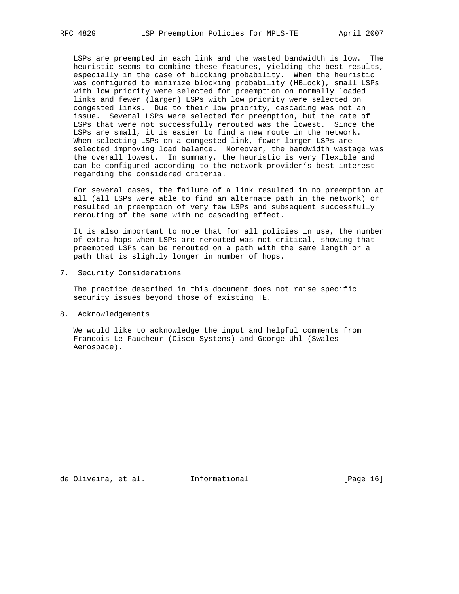LSPs are preempted in each link and the wasted bandwidth is low. The heuristic seems to combine these features, yielding the best results, especially in the case of blocking probability. When the heuristic was configured to minimize blocking probability (HBlock), small LSPs with low priority were selected for preemption on normally loaded links and fewer (larger) LSPs with low priority were selected on congested links. Due to their low priority, cascading was not an issue. Several LSPs were selected for preemption, but the rate of LSPs that were not successfully rerouted was the lowest. Since the LSPs are small, it is easier to find a new route in the network. When selecting LSPs on a congested link, fewer larger LSPs are selected improving load balance. Moreover, the bandwidth wastage was the overall lowest. In summary, the heuristic is very flexible and can be configured according to the network provider's best interest regarding the considered criteria.

 For several cases, the failure of a link resulted in no preemption at all (all LSPs were able to find an alternate path in the network) or resulted in preemption of very few LSPs and subsequent successfully rerouting of the same with no cascading effect.

 It is also important to note that for all policies in use, the number of extra hops when LSPs are rerouted was not critical, showing that preempted LSPs can be rerouted on a path with the same length or a path that is slightly longer in number of hops.

7. Security Considerations

 The practice described in this document does not raise specific security issues beyond those of existing TE.

8. Acknowledgements

 We would like to acknowledge the input and helpful comments from Francois Le Faucheur (Cisco Systems) and George Uhl (Swales Aerospace).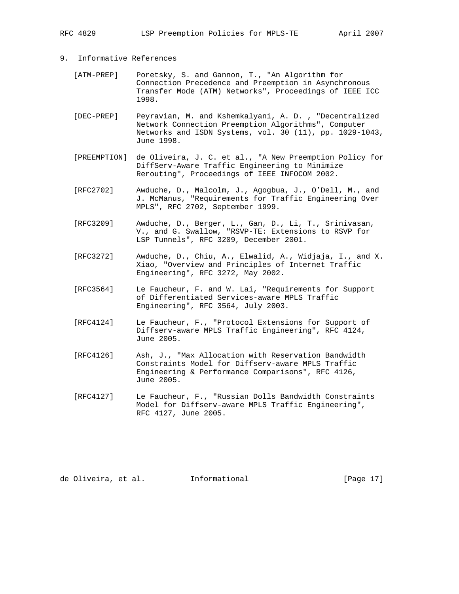RFC 4829 LSP Preemption Policies for MPLS-TE April 2007

- 9. Informative References
	- [ATM-PREP] Poretsky, S. and Gannon, T., "An Algorithm for Connection Precedence and Preemption in Asynchronous Transfer Mode (ATM) Networks", Proceedings of IEEE ICC 1998.
	- [DEC-PREP] Peyravian, M. and Kshemkalyani, A. D. , "Decentralized Network Connection Preemption Algorithms", Computer Networks and ISDN Systems, vol. 30 (11), pp. 1029-1043, June 1998.
	- [PREEMPTION] de Oliveira, J. C. et al., "A New Preemption Policy for DiffServ-Aware Traffic Engineering to Minimize Rerouting", Proceedings of IEEE INFOCOM 2002.
	- [RFC2702] Awduche, D., Malcolm, J., Agogbua, J., O'Dell, M., and J. McManus, "Requirements for Traffic Engineering Over MPLS", RFC 2702, September 1999.
	- [RFC3209] Awduche, D., Berger, L., Gan, D., Li, T., Srinivasan, V., and G. Swallow, "RSVP-TE: Extensions to RSVP for LSP Tunnels", RFC 3209, December 2001.
	- [RFC3272] Awduche, D., Chiu, A., Elwalid, A., Widjaja, I., and X. Xiao, "Overview and Principles of Internet Traffic Engineering", RFC 3272, May 2002.
	- [RFC3564] Le Faucheur, F. and W. Lai, "Requirements for Support of Differentiated Services-aware MPLS Traffic Engineering", RFC 3564, July 2003.
	- [RFC4124] Le Faucheur, F., "Protocol Extensions for Support of Diffserv-aware MPLS Traffic Engineering", RFC 4124, June 2005.
	- [RFC4126] Ash, J., "Max Allocation with Reservation Bandwidth Constraints Model for Diffserv-aware MPLS Traffic Engineering & Performance Comparisons", RFC 4126, June 2005.
	- [RFC4127] Le Faucheur, F., "Russian Dolls Bandwidth Constraints Model for Diffserv-aware MPLS Traffic Engineering", RFC 4127, June 2005.

de Oliveira, et al. Informational [Page 17]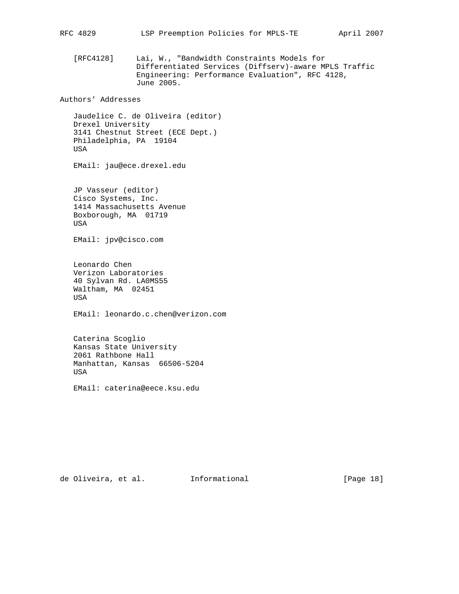[RFC4128] Lai, W., "Bandwidth Constraints Models for Differentiated Services (Diffserv)-aware MPLS Traffic Engineering: Performance Evaluation", RFC 4128, June 2005.

Authors' Addresses

 Jaudelice C. de Oliveira (editor) Drexel University 3141 Chestnut Street (ECE Dept.) Philadelphia, PA 19104 USA

EMail: jau@ece.drexel.edu

 JP Vasseur (editor) Cisco Systems, Inc. 1414 Massachusetts Avenue Boxborough, MA 01719 USA

EMail: jpv@cisco.com

 Leonardo Chen Verizon Laboratories 40 Sylvan Rd. LA0MS55 Waltham, MA 02451 USA

EMail: leonardo.c.chen@verizon.com

 Caterina Scoglio Kansas State University 2061 Rathbone Hall Manhattan, Kansas 66506-5204 USA

EMail: caterina@eece.ksu.edu